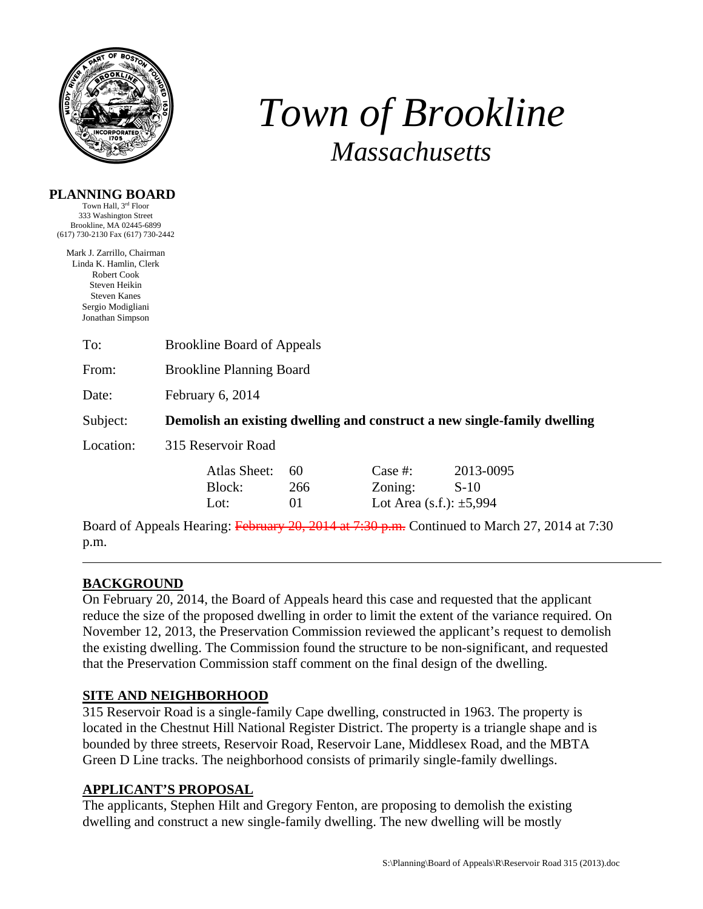

**PLANNING BOARD** 

 $(617)$ 

# *Town of Brookline Massachusetts*

| Town Hall, 3 <sup>rd</sup> Floor<br>333 Washington Street                                                                                            |                                       |                 |                                                          |                                                                          |  |
|------------------------------------------------------------------------------------------------------------------------------------------------------|---------------------------------------|-----------------|----------------------------------------------------------|--------------------------------------------------------------------------|--|
| Brookline, MA 02445-6899<br>7) 730-2130 Fax (617) 730-2442                                                                                           |                                       |                 |                                                          |                                                                          |  |
| Mark J. Zarrillo, Chairman<br>Linda K. Hamlin, Clerk<br>Robert Cook<br>Steven Heikin<br><b>Steven Kanes</b><br>Sergio Modigliani<br>Jonathan Simpson |                                       |                 |                                                          |                                                                          |  |
| To:                                                                                                                                                  | <b>Brookline Board of Appeals</b>     |                 |                                                          |                                                                          |  |
| From:                                                                                                                                                | <b>Brookline Planning Board</b>       |                 |                                                          |                                                                          |  |
| Date:                                                                                                                                                | February 6, 2014                      |                 |                                                          |                                                                          |  |
| Subject:                                                                                                                                             |                                       |                 |                                                          | Demolish an existing dwelling and construct a new single-family dwelling |  |
| Location:                                                                                                                                            | 315 Reservoir Road                    |                 |                                                          |                                                                          |  |
|                                                                                                                                                      | <b>Atlas Sheet:</b><br>Block:<br>Lot: | 60<br>266<br>01 | Case $#$ :<br>Zoning:<br>Lot Area $(s.f.)$ : $\pm 5,994$ | 2013-0095<br>$S-10$                                                      |  |

Board of Appeals Hearing: February 20, 2014 at 7:30 p.m. Continued to March 27, 2014 at 7:30 p.m.

## **BACKGROUND**

On February 20, 2014, the Board of Appeals heard this case and requested that the applicant reduce the size of the proposed dwelling in order to limit the extent of the variance required. On November 12, 2013, the Preservation Commission reviewed the applicant's request to demolish the existing dwelling. The Commission found the structure to be non-significant, and requested that the Preservation Commission staff comment on the final design of the dwelling.

## **SITE AND NEIGHBORHOOD**

315 Reservoir Road is a single-family Cape dwelling, constructed in 1963. The property is located in the Chestnut Hill National Register District. The property is a triangle shape and is bounded by three streets, Reservoir Road, Reservoir Lane, Middlesex Road, and the MBTA Green D Line tracks. The neighborhood consists of primarily single-family dwellings.

## **APPLICANT'S PROPOSAL**

The applicants, Stephen Hilt and Gregory Fenton, are proposing to demolish the existing dwelling and construct a new single-family dwelling. The new dwelling will be mostly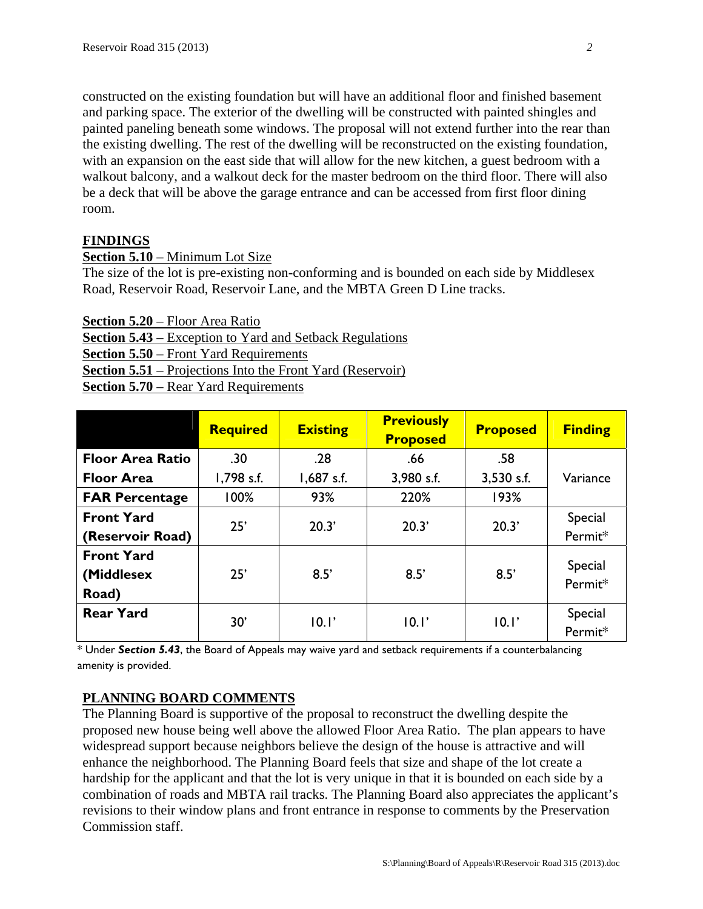constructed on the existing foundation but will have an additional floor and finished basement and parking space. The exterior of the dwelling will be constructed with painted shingles and painted paneling beneath some windows. The proposal will not extend further into the rear than the existing dwelling. The rest of the dwelling will be reconstructed on the existing foundation, with an expansion on the east side that will allow for the new kitchen, a guest bedroom with a walkout balcony, and a walkout deck for the master bedroom on the third floor. There will also be a deck that will be above the garage entrance and can be accessed from first floor dining room.

## **FINDINGS**

### **Section 5.10** – Minimum Lot Size

The size of the lot is pre-existing non-conforming and is bounded on each side by Middlesex Road, Reservoir Road, Reservoir Lane, and the MBTA Green D Line tracks.

**Section 5.20** – Floor Area Ratio

**Section 5.43** – Exception to Yard and Setback Regulations **Section 5.50** – Front Yard Requirements **Section 5.51** – Projections Into the Front Yard (Reservoir)

**Section 5.70** – Rear Yard Requirements

|                                          | <b>Required</b> | <b>Existing</b> | <b>Previously</b><br><b>Proposed</b> | <b>Proposed</b> | <b>Finding</b>     |
|------------------------------------------|-----------------|-----------------|--------------------------------------|-----------------|--------------------|
| <b>Floor Area Ratio</b>                  | .30             | .28             | .66                                  | .58             |                    |
| <b>Floor Area</b>                        | 1,798 s.f.      | $1,687$ s.f.    | 3,980 s.f.                           | $3,530$ s.f.    | Variance           |
| <b>FAR Percentage</b>                    | 100%            | 93%             | 220%                                 | 193%            |                    |
| <b>Front Yard</b>                        | 25'             | 20.3'           | 20.3'                                | 20.3'           | Special            |
| (Reservoir Road)                         |                 |                 |                                      |                 | Permit*            |
| <b>Front Yard</b><br>(Middlesex<br>Road) | 25'             | 8.5'            | 8.5'                                 | 8.5'            | Special<br>Permit* |
| <b>Rear Yard</b>                         | 30'             | 10.1'           | 10.1'                                | 10.1'           | Special<br>Permit* |

\* Under *Section 5.43*, the Board of Appeals may waive yard and setback requirements if a counterbalancing amenity is provided.

## **PLANNING BOARD COMMENTS**

The Planning Board is supportive of the proposal to reconstruct the dwelling despite the proposed new house being well above the allowed Floor Area Ratio. The plan appears to have widespread support because neighbors believe the design of the house is attractive and will enhance the neighborhood. The Planning Board feels that size and shape of the lot create a hardship for the applicant and that the lot is very unique in that it is bounded on each side by a combination of roads and MBTA rail tracks. The Planning Board also appreciates the applicant's revisions to their window plans and front entrance in response to comments by the Preservation Commission staff.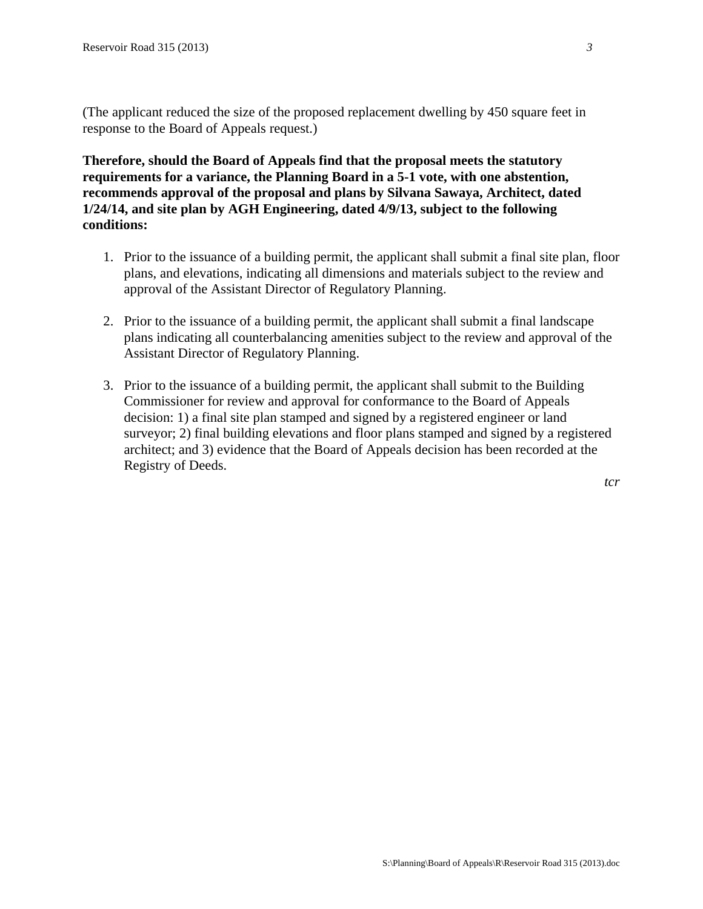(The applicant reduced the size of the proposed replacement dwelling by 450 square feet in response to the Board of Appeals request.)

**Therefore, should the Board of Appeals find that the proposal meets the statutory requirements for a variance, the Planning Board in a 5-1 vote, with one abstention, recommends approval of the proposal and plans by Silvana Sawaya, Architect, dated 1/24/14, and site plan by AGH Engineering, dated 4/9/13, subject to the following conditions:** 

- 1. Prior to the issuance of a building permit, the applicant shall submit a final site plan, floor plans, and elevations, indicating all dimensions and materials subject to the review and approval of the Assistant Director of Regulatory Planning.
- 2. Prior to the issuance of a building permit, the applicant shall submit a final landscape plans indicating all counterbalancing amenities subject to the review and approval of the Assistant Director of Regulatory Planning.
- 3. Prior to the issuance of a building permit, the applicant shall submit to the Building Commissioner for review and approval for conformance to the Board of Appeals decision: 1) a final site plan stamped and signed by a registered engineer or land surveyor; 2) final building elevations and floor plans stamped and signed by a registered architect; and 3) evidence that the Board of Appeals decision has been recorded at the Registry of Deeds.

*tcr*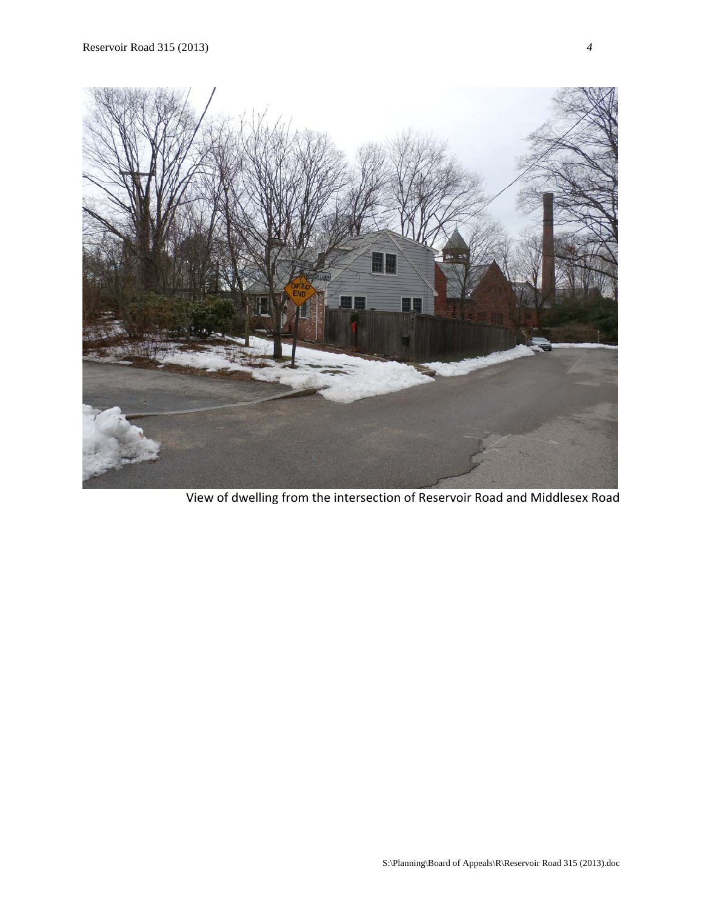

View of dwelling from the intersection of Reservoir Road and Middlesex Road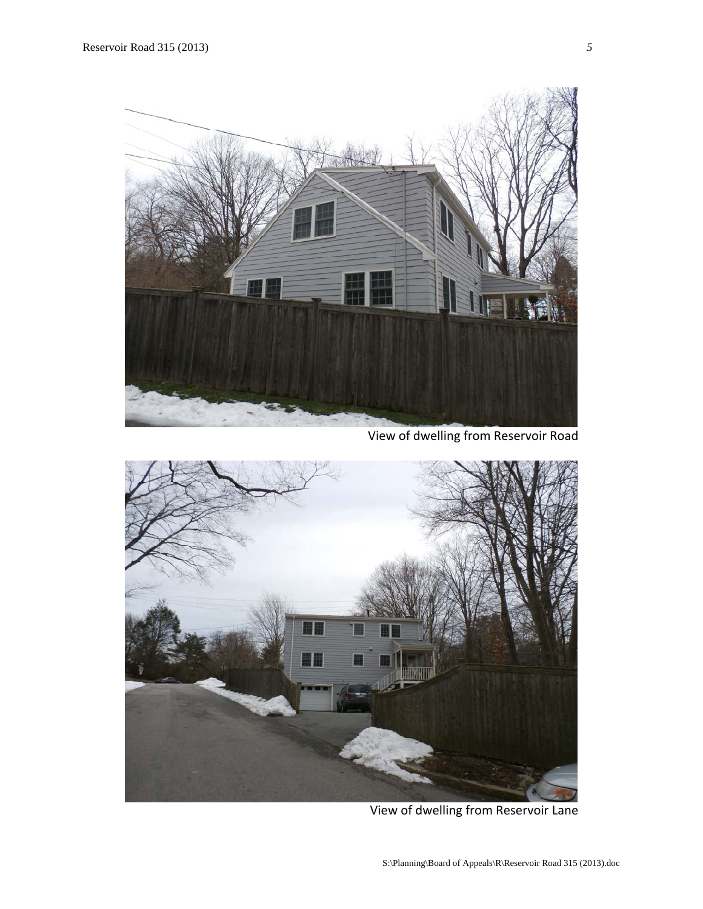

View of dwelling from Reservoir Road



View of dwelling from Reservoir Lane